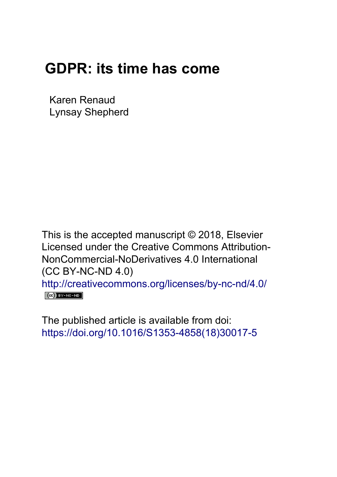## **GDPR: its time has come**

Karen Renaud Lynsay Shepherd

This is the accepted manuscript © 2018, Elsevier Licensed under the Creative Commons Attribution-NonCommercial-NoDerivatives 4.0 International (CC BY-NC-ND 4.0) <http://creativecommons.org/licenses/by-nc-nd/4.0/>  $(Cc)$  BY-NC-ND

The published article is available from doi: [https://doi.org/10.1016/S1353-4858\(18\)30017-5](https://doi.org/10.1016/S1353-4858(18)30017-5)